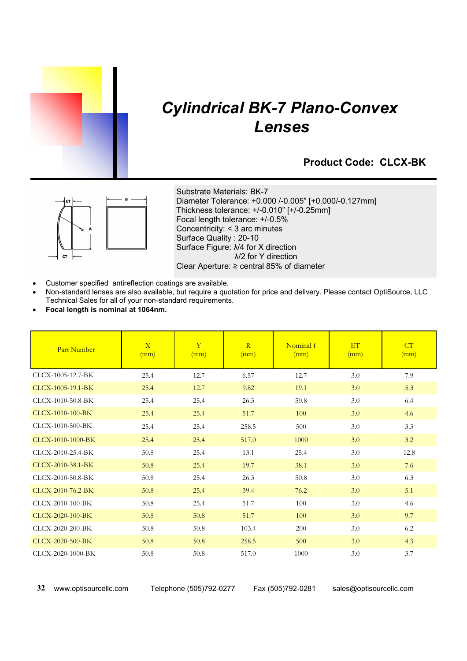

# *Cylindrical BK-7 Plano-Convex Lenses*

### **Product Code: CLCX-BK**



Substrate Materials: BK-7 Diameter Tolerance: +0.000 /-0.005" [+0.000/-0.127mm] Thickness tolerance: +/-0.010" [+/-0.25mm] Focal length tolerance: +/-0.5% Concentricity: < 3 arc minutes Surface Quality : 20-10 Surface Figure: λ/4 for X direction λ/2 for Y direction Clear Aperture: ≥ central 85% of diameter

- Customer specified antireflection coatings are available.
- x Non-standard lenses are also available, but require a quotation for price and delivery. Please contact OptiSource, LLC Technical Sales for all of your non-standard requirements.
- x **Focal length is nominal at 1064nm.**

| Part Number       | $\overline{X}$<br>(mm) | $\overline{Y}$<br>(mm) | R<br>(mm) | Nominal f<br>(mm) | ET<br>(mm) | CT<br>(mm) |
|-------------------|------------------------|------------------------|-----------|-------------------|------------|------------|
| CLCX-1005-12.7-BK | 25.4                   | 12.7                   | 6.57      | 12.7              | 3.0        | 7.9        |
| CLCX-1005-19.1-BK | 25.4                   | 12.7                   | 9.82      | 19.1              | 3.0        | 5.3        |
| CLCX-1010-50.8-BK | 25.4                   | 25.4                   | 26.3      | 50.8              | 3.0        | 6.4        |
| CLCX-1010-100-BK  | 25.4                   | 25.4                   | 51.7      | 100               | 3.0        | 4.6        |
| CLCX-1010-500-BK  | 25.4                   | 25.4                   | 258.5     | 500               | 3.0        | 3.3        |
| CLCX-1010-1000-BK | 25.4                   | 25.4                   | 517.0     | 1000              | 3.0        | 3.2        |
| CLCX-2010-25.4-BK | 50.8                   | 25.4                   | 13.1      | 25.4              | 3.0        | 12.8       |
| CLCX-2010-38.1-BK | 50.8                   | 25.4                   | 19.7      | 38.1              | 3.0        | 7.6        |
| CLCX-2010-50.8-BK | 50.8                   | 25.4                   | 26.3      | 50.8              | 3.0        | 6.3        |
| CLCX-2010-76.2-BK | 50.8                   | 25.4                   | 39.4      | 76.2              | 3.0        | 5.1        |
| CLCX-2010-100-BK  | 50.8                   | 25.4                   | 51.7      | 100               | 3.0        | 4.6        |
| CLCX-2020-100-BK  | 50.8                   | 50.8                   | 51.7      | 100               | 3.0        | 9.7        |
| CLCX-2020-200-BK  | 50.8                   | 50.8                   | 103.4     | 200               | 3.0        | 6.2        |
| CLCX-2020-500-BK  | 50.8                   | 50.8                   | 258.5     | 500               | 3.0        | 4.3        |
| CLCX-2020-1000-BK | 50.8                   | 50.8                   | 517.0     | 1000              | 3.0        | 3.7        |

**32** www.optisourcellc.com Telephone (505)792-0277 Fax (505)792-0281 sales@optisourcellc.com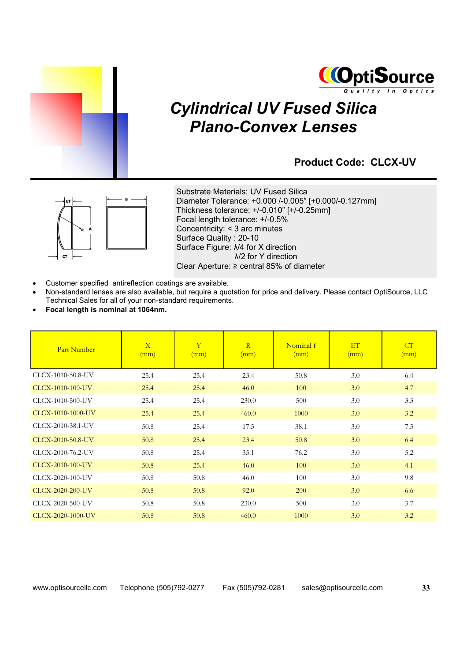



# *Cylindrical UV Fused Silica Plano-Convex Lenses*

### **Product Code: CLCX-UV**



Substrate Materials: UV Fused Silica Diameter Tolerance: +0.000 /-0.005" [+0.000/-0.127mm] Thickness tolerance: +/-0.010" [+/-0.25mm] Focal length tolerance: +/-0.5% Concentricity: < 3 arc minutes Surface Quality : 20-10 Surface Figure: λ/4 for X direction λ/2 for Y direction Clear Aperture: ≥ central 85% of diameter

- Customer specified antireflection coatings are available.
- x Non-standard lenses are also available, but require a quotation for price and delivery. Please contact OptiSource, LLC Technical Sales for all of your non-standard requirements.
- x **Focal length is nominal at 1064nm.**

| Part Number       | $\overline{X}$<br>(mm) | $\mathbf{Y}$<br>(mm) | R<br>(mm) | Nominal f<br>(mm) | ET<br>(mm) | CT<br>(mm) |
|-------------------|------------------------|----------------------|-----------|-------------------|------------|------------|
| CLCX-1010-50.8-UV | 25.4                   | 25.4                 | 23.4      | 50.8              | 3.0        | 6.4        |
| CLCX-1010-100-UV  | 25.4                   | 25.4                 | 46.0      | 100               | 3.0        | 4.7        |
| CLCX-1010-500-UV  | 25.4                   | 25.4                 | 230.0     | 500               | 3.0        | 3.3        |
| CLCX-1010-1000-UV | 25.4                   | 25.4                 | 460.0     | 1000              | 3.0        | 3.2        |
| CLCX-2010-38.1-UV | 50.8                   | 25.4                 | 17.5      | 38.1              | 3.0        | 7.5        |
| CLCX-2010-50.8-UV | 50.8                   | 25.4                 | 23.4      | 50.8              | 3.0        | 6.4        |
| CLCX-2010-76.2-UV | 50.8                   | 25.4                 | 35.1      | 76.2              | 3.0        | 5.2        |
| CLCX-2010-100-UV  | 50.8                   | 25.4                 | 46.0      | 100               | 3.0        | 4.1        |
| CLCX-2020-100-UV  | 50.8                   | 50.8                 | 46.0      | 100               | 3.0        | 9.8        |
| CLCX-2020-200-UV  | 50.8                   | 50.8                 | 92.0      | 200               | 3.0        | 6.6        |
| CLCX-2020-500-UV  | 50.8                   | 50.8                 | 230.0     | 500               | 3.0        | 3.7        |
| CLCX-2020-1000-UV | 50.8                   | 50.8                 | 460.0     | 1000              | 3.0        | 3.2        |

www.optisourcellc.com Telephone (505)792-0277 Fax (505)792-0281 sales@optisourcellc.com **33**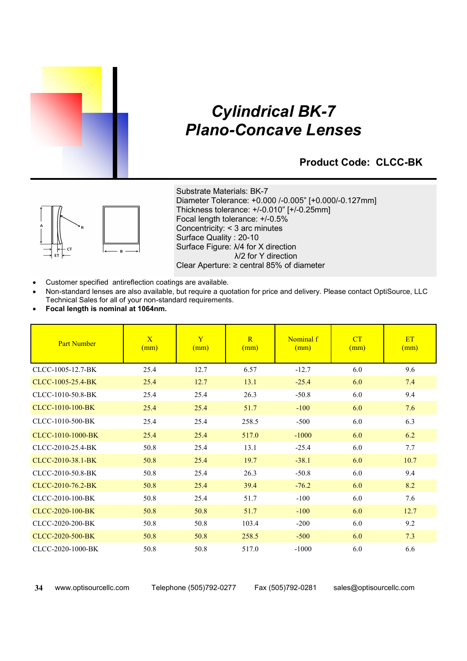

## *Cylindrical BK-7 Plano-Concave Lenses*

### **Product Code: CLCC-BK**



Substrate Materials: BK-7 Diameter Tolerance: +0.000 /-0.005" [+0.000/-0.127mm] Thickness tolerance: +/-0.010" [+/-0.25mm] Focal length tolerance: +/-0.5% Concentricity: < 3 arc minutes Surface Quality : 20-10 Surface Figure: λ/4 for X direction λ/2 for Y direction Clear Aperture: ≥ central 85% of diameter

- Customer specified antireflection coatings are available.
- x Non-standard lenses are also available, but require a quotation for price and delivery. Please contact OptiSource, LLC Technical Sales for all of your non-standard requirements.
- x **Focal length is nominal at 1064nm.**

| <b>Part Number</b> | $\overline{X}$<br>(mm) | Y<br>(mm) | $\overline{R}$<br>(mm) | Nominal f<br>(mm) | CT<br>(mm) | <b>ET</b><br>(mm) |
|--------------------|------------------------|-----------|------------------------|-------------------|------------|-------------------|
| CLCC-1005-12.7-BK  | 25.4                   | 12.7      | 6.57                   | $-12.7$           | 6.0        | 9.6               |
| CLCC-1005-25.4-BK  | 25.4                   | 12.7      | 13.1                   | $-25.4$           | 6.0        | 7.4               |
| CLCC-1010-50.8-BK  | 25.4                   | 25.4      | 26.3                   | $-50.8$           | 6.0        | 9.4               |
| CLCC-1010-100-BK   | 25.4                   | 25.4      | 51.7                   | $-100$            | 6.0        | 7.6               |
| CLCC-1010-500-BK   | 25.4                   | 25.4      | 258.5                  | $-500$            | 6.0        | 6.3               |
| CLCC-1010-1000-BK  | 25.4                   | 25.4      | 517.0                  | $-1000$           | 6.0        | 6.2               |
| CLCC-2010-25.4-BK  | 50.8                   | 25.4      | 13.1                   | $-25.4$           | 6.0        | 7.7               |
| CLCC-2010-38.1-BK  | 50.8                   | 25.4      | 19.7                   | $-38.1$           | 6.0        | 10.7              |
| CLCC-2010-50.8-BK  | 50.8                   | 25.4      | 26.3                   | $-50.8$           | 6.0        | 9.4               |
| CLCC-2010-76.2-BK  | 50.8                   | 25.4      | 39.4                   | $-76.2$           | 6.0        | 8.2               |
| CLCC-2010-100-BK   | 50.8                   | 25.4      | 51.7                   | $-100$            | 6.0        | 7.6               |
| CLCC-2020-100-BK   | 50.8                   | 50.8      | 51.7                   | $-100$            | 6.0        | 12.7              |
| CLCC-2020-200-BK   | 50.8                   | 50.8      | 103.4                  | $-200$            | 6.0        | 9.2               |
| CLCC-2020-500-BK   | 50.8                   | 50.8      | 258.5                  | $-500$            | 6.0        | 7.3               |
| CLCC-2020-1000-BK  | 50.8                   | 50.8      | 517.0                  | $-1000$           | 6.0        | 6.6               |